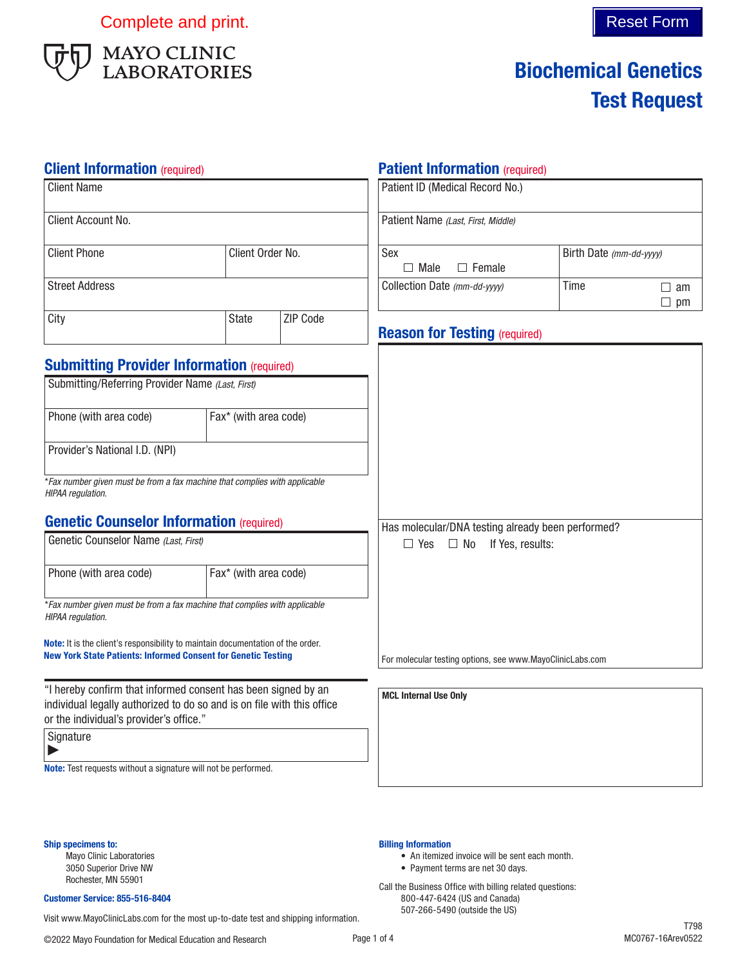Complete and print. Complete and print.



# Biochemical Genetics Test Request

### **Client Information** (required)

| <b>Client Name</b>                                                                                                                                                                 |                       |                                             | Patient ID (Medical Record No.)                           |      |                        |
|------------------------------------------------------------------------------------------------------------------------------------------------------------------------------------|-----------------------|---------------------------------------------|-----------------------------------------------------------|------|------------------------|
| Client Account No.                                                                                                                                                                 |                       |                                             | Patient Name (Last, First, Middle)                        |      |                        |
| <b>Client Phone</b><br>Client Order No.                                                                                                                                            |                       | Sex<br>$\Box$ Male<br>$\Box$ Female         | Birth Date (mm-dd-yyyy)                                   |      |                        |
| <b>Street Address</b>                                                                                                                                                              |                       |                                             | Collection Date (mm-dd-yyyy)                              | Time | $\Box$ am<br>$\Box$ pm |
| City                                                                                                                                                                               | <b>State</b>          | ZIP Code                                    | <b>Reason for Testing (required)</b>                      |      |                        |
| <b>Submitting Provider Information (required)</b><br>Submitting/Referring Provider Name (Last, First)                                                                              |                       |                                             |                                                           |      |                        |
| Phone (with area code)                                                                                                                                                             | Fax* (with area code) |                                             |                                                           |      |                        |
| Provider's National I.D. (NPI)                                                                                                                                                     |                       |                                             |                                                           |      |                        |
| *Fax number given must be from a fax machine that complies with applicable<br>HIPAA regulation.                                                                                    |                       |                                             |                                                           |      |                        |
| <b>Genetic Counselor Information (required)</b>                                                                                                                                    |                       |                                             | Has molecular/DNA testing already been performed?         |      |                        |
| Genetic Counselor Name (Last, First)                                                                                                                                               |                       | $\Box$ Yes<br>$\Box$ No<br>If Yes, results: |                                                           |      |                        |
| Phone (with area code)                                                                                                                                                             | Fax* (with area code) |                                             |                                                           |      |                        |
| *Fax number given must be from a fax machine that complies with applicable<br>HIPAA regulation.                                                                                    |                       |                                             |                                                           |      |                        |
| Note: It is the client's responsibility to maintain documentation of the order.<br><b>New York State Patients: Informed Consent for Genetic Testing</b>                            |                       |                                             | For molecular testing options, see www.MayoClinicLabs.com |      |                        |
| "I hereby confirm that informed consent has been signed by an<br>individual legally authorized to do so and is on file with this office<br>or the individual's provider's office." |                       | <b>MCL Internal Use Only</b>                |                                                           |      |                        |
| Signature                                                                                                                                                                          |                       |                                             |                                                           |      |                        |
| Note: Test requests without a signature will not be performed.                                                                                                                     |                       |                                             |                                                           |      |                        |

Ship specimens to: Mayo Clinic Laboratories

3050 Superior Drive NW Rochester, MN 55901

#### Customer Service: 855-516-8404

507-266-5490 (outside the US) Visit www.MayoClinicLabs.com for the most up-to-date test and shipping information.

#### Page 1 of 4

Billing Information

• An itemized invoice will be sent each month.

• Payment terms are net 30 days. Call the Business Office with billing related questions: 800-447-6424 (US and Canada)

Patient Information (required)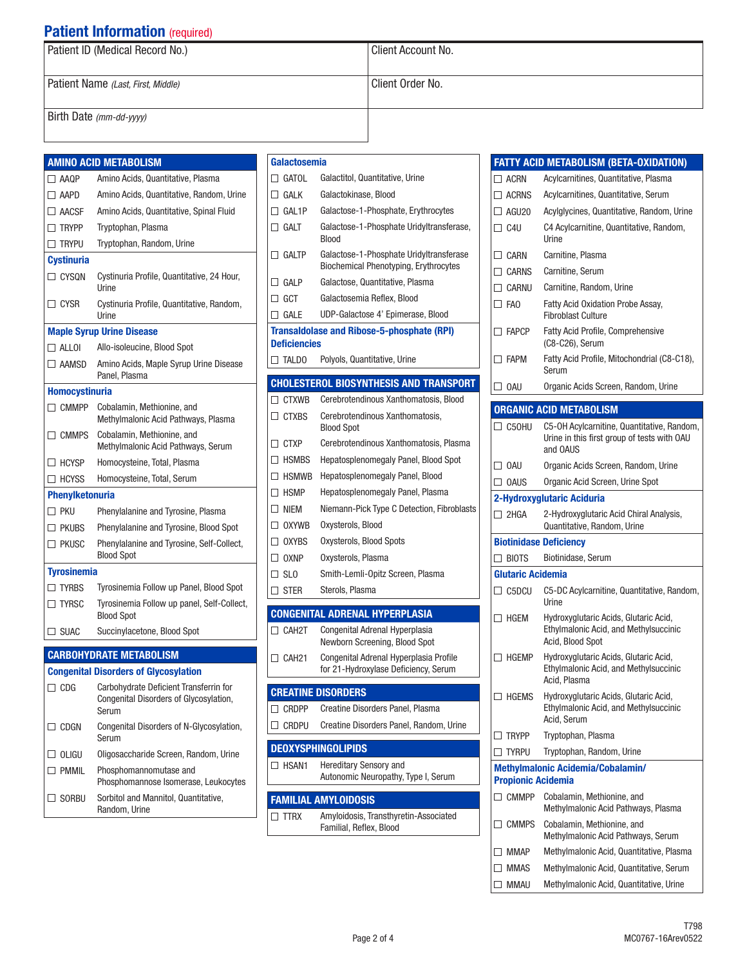# **Patient Information** (required)

| Patient ID (Medical Record No.)    | Client Account No. |
|------------------------------------|--------------------|
|                                    |                    |
| Patient Name (Last, First, Middle) | Client Order No.   |
|                                    |                    |
| Birth Date (mm-dd-yyyy)            |                    |
|                                    |                    |

|                        | <b>AMINO ACID METABOLISM</b>                                                                                                              |
|------------------------|-------------------------------------------------------------------------------------------------------------------------------------------|
| $\Box$ AAQP            | Amino Acids, Quantitative, Plasma                                                                                                         |
| $\Box$ AAPD            | Amino Acids, Quantitative, Random, Urine                                                                                                  |
| $\Box$ AACSF           | Amino Acids, Quantitative, Spinal Fluid                                                                                                   |
| $\Box$ TRYPP           | Tryptophan, Plasma                                                                                                                        |
| $\Box$ Trypu           | Tryptophan, Random, Urine                                                                                                                 |
| <b>Cystinuria</b>      |                                                                                                                                           |
| $\Box$ CYSQN           | Cystinuria Profile, Quantitative, 24 Hour,<br>Urine                                                                                       |
| $\Box$ CYSR            | Cystinuria Profile, Quantitative, Random,<br>Urine                                                                                        |
|                        | <b>Maple Syrup Urine Disease</b>                                                                                                          |
| $\Box$ ALLOI           | Allo-isoleucine, Blood Spot                                                                                                               |
| $\Box$ AAMSD           | Amino Acids, Maple Syrup Urine Disease<br>Panel, Plasma                                                                                   |
| <b>Homocystinuria</b>  |                                                                                                                                           |
| $\Box$ CMMPP           | Cobalamin, Methionine, and<br>Methylmalonic Acid Pathways, Plasma                                                                         |
| $\Box$ cmmps           | Cobalamin, Methionine, and<br>Methylmalonic Acid Pathways, Serum                                                                          |
| $\Box$ HCYSP           | Homocysteine, Total, Plasma                                                                                                               |
| $\Box$ HCYSS           | Homocysteine, Total, Serum                                                                                                                |
| <b>Phenviketonuria</b> |                                                                                                                                           |
| ∏ PKU                  | Phenylalanine and Tyrosine, Plasma                                                                                                        |
| $\Box$ PKUBS           | Phenylalanine and Tyrosine, Blood Spot                                                                                                    |
| $\Box$ PKUSC           | Phenylalanine and Tyrosine, Self-Collect,<br>Blood Spot                                                                                   |
| <b>Tyrosinemia</b>     |                                                                                                                                           |
| $\Box$ tyrbs           | Tyrosinemia Follow up Panel, Blood Spot                                                                                                   |
| $\Box$ Tyrsc           | Tyrosinemia Follow up panel, Self-Collect,<br>Blood Spot                                                                                  |
| $\Box$ suac            | Succinylacetone, Blood Spot                                                                                                               |
|                        |                                                                                                                                           |
|                        |                                                                                                                                           |
|                        | <b>CARBOHYDRATE METABOLISM</b>                                                                                                            |
| $\Box$ CDG             | <b>Congenital Disorders of Glycosylation</b><br>Carbohydrate Deficient Transferrin for<br>Congenital Disorders of Glycosylation,<br>Serum |
| $\Box$ CDGN            | Congenital Disorders of N-Glycosylation,<br>Serum                                                                                         |
| OLIGU                  | Oligosaccharide Screen, Random, Urine                                                                                                     |
| $\sqsupset$ pmmil      | Phosphomannomutase and<br>Phosphomannose Isomerase, Leukocytes                                                                            |

|   | Galactosemia        |                                                                                         |
|---|---------------------|-----------------------------------------------------------------------------------------|
|   | $\Box$ GATOL        | Galactitol, Quantitative, Urine                                                         |
|   | $\Box$ Galk         | Galactokinase, Blood                                                                    |
|   | $\Box$ GAL1P        | Galactose-1-Phosphate, Erythrocytes                                                     |
|   | $\Box$ Galt         | Galactose-1-Phosphate Uridyltransferase,<br>Blood                                       |
|   | $\Box$ galtp        | Galactose-1-Phosphate Uridyltransferase<br><b>Biochemical Phenotyping, Erythrocytes</b> |
|   | $\Box$ Galp         | Galactose, Quantitative, Plasma                                                         |
|   | $\Box$ GCT          | Galactosemia Reflex, Blood                                                              |
|   | $\Box$ gale         | UDP-Galactose 4' Epimerase, Blood                                                       |
|   | <b>Deficiencies</b> | Transaldolase and Ribose-5-phosphate (RPI)                                              |
|   | $\Box$ TALDO        | Polyols, Quantitative, Urine                                                            |
|   |                     | <b>CHOLESTEROL BIOSYNTHESIS AND TRANSPORT</b>                                           |
|   | $\Box$ CTXWB        | Cerebrotendinous Xanthomatosis, Blood                                                   |
|   | $\Box$ CTXBS        | Cerebrotendinous Xanthomatosis,<br><b>Blood Spot</b>                                    |
|   | $\Box$ CTXP         | Cerebrotendinous Xanthomatosis, Plasma                                                  |
|   | $\Box$ HSMBS        | Hepatosplenomegaly Panel, Blood Spot                                                    |
|   | $\Box$ HSMWB        | Hepatosplenomegaly Panel, Blood                                                         |
|   | $\Box$ HSMP         | Hepatosplenomegaly Panel, Plasma                                                        |
|   | $\Box$ Niem         | Niemann-Pick Type C Detection, Fibroblasts                                              |
|   | $\Box$ oxywb        | Oxysterols, Blood                                                                       |
|   | $\Box$ oxybs        | Oxysterols, Blood Spots                                                                 |
|   | $\Box$ OXNP         | Oxysterols, Plasma                                                                      |
|   | $\Box$ SLO          | Smith-Lemli-Opitz Screen, Plasma                                                        |
|   | $\Box$ ster         | Sterols, Plasma                                                                         |
|   |                     | <b>CONGENITAL ADRENAL HYPERPLASIA</b>                                                   |
|   | $\Box$ CAH2T        | Congenital Adrenal Hyperplasia                                                          |
|   | $\Box$ CAH21        | Newborn Screening, Blood Spot<br>Congenital Adrenal Hyperplasia Profile                 |
|   |                     | for 21-Hydroxylase Deficiency, Serum                                                    |
|   |                     | <b>CREATINE DISORDERS</b>                                                               |
|   | $\Box$ CRDPP        | Creatine Disorders Panel, Plasma                                                        |
| ⊔ | CRDPU               | Creatine Disorders Panel, Random, Urine                                                 |
|   |                     | <b>DEOXYSPHINGOLIPIDS</b>                                                               |
|   | $\Box$ HSAN1        | Hereditary Sensory and<br>Autonomic Neuropathy, Type I, Serum                           |
|   |                     | <b>FAMILIAL AMYLOIDOSIS</b>                                                             |
|   | $\Box$ ttrx         | Amyloidosis, Transthyretin-Associated<br>Familial, Reflex, Blood                        |
|   |                     |                                                                                         |

|                              | <b>FATTY ACID METABOLISM (BETA-OXIDATION)</b>                                                         |
|------------------------------|-------------------------------------------------------------------------------------------------------|
| $\Box$ ACRN                  | Acylcarnitines, Quantitative, Plasma                                                                  |
| $\Box$ ACRNS                 | Acylcarnitines, Quantitative, Serum                                                                   |
| $\Box$ AGU20                 | Acylglycines, Quantitative, Random, Urine                                                             |
| $\Box$ C4U                   | C4 Acylcarnitine, Quantitative, Random,<br>Urine                                                      |
| $\Box$ CARN                  | Carnitine, Plasma                                                                                     |
| $\Box$ CARNS                 | Carnitine, Serum                                                                                      |
| $\Box$ CARNU                 | Carnitine, Random, Urine                                                                              |
| $\Box$ FAO                   | <b>Fatty Acid Oxidation Probe Assay,</b><br><b>Fibroblast Culture</b>                                 |
| $\Box$ FAPCP                 | <b>Fatty Acid Profile, Comprehensive</b><br>(C8-C26), Serum                                           |
| $\Box$ Fapm                  | Fatty Acid Profile, Mitochondrial (C8-C18),<br>Serum                                                  |
| $\Box$ OAU                   | Organic Acids Screen, Random, Urine                                                                   |
|                              | <b>ORGANIC ACID METABOLISM</b>                                                                        |
| $\Box$ C50HU                 | C5-OH Acylcarnitine, Quantitative, Random,<br>Urine in this first group of tests with OAU<br>and OAUS |
| $\Box$ OAU                   | Organic Acids Screen, Random, Urine                                                                   |
| $\Box$ OAUS                  | Organic Acid Screen, Urine Spot                                                                       |
|                              | 2-Hydroxyglutaric Aciduria                                                                            |
| $\Box$ 2HGA                  | 2-Hydroxyglutaric Acid Chiral Analysis,<br>Quantitative, Random, Urine                                |
|                              | <b>Biotinidase Deficiency</b>                                                                         |
| $\Box$ BIOTS                 | Biotinidase, Serum                                                                                    |
| Glutaric Acidemia            |                                                                                                       |
| $\Box$ C5DCU                 | C5-DC Acylcarnitine, Quantitative, Random,<br>Urine                                                   |
| $\Box$ HGFM                  | Hydroxyglutaric Acids, Glutaric Acid,<br>Ethylmalonic Acid, and Methylsuccinic<br>Acid, Blood Spot    |
| $\Box$ HGEMP                 | Hydroxyglutaric Acids, Glutaric Acid,<br>Ethylmalonic Acid, and Methylsuccinic<br>Acid, Plasma        |
| $\sqcup$ hgems               | Hydroxyglutaric Acids, Glutaric Acid,<br>Ethylmalonic Acid, and Methylsuccinic<br>Acid, Serum         |
| <b>TRYPP</b><br>$\mathsf{L}$ | Tryptophan, Plasma                                                                                    |
| <b>TYRPU</b>                 | Tryptophan, Random, Urine                                                                             |
|                              | <b>Methylmalonic Acidemia/Cobalamin/</b>                                                              |
| <b>Propionic Acidemia</b>    |                                                                                                       |
| $\Box$ CMMPP                 | Cobalamin, Methionine, and                                                                            |
|                              | Methylmalonic Acid Pathways, Plasma                                                                   |
| $\Box$ CMMPS                 | Cobalamin, Methionine, and<br>Methylmalonic Acid Pathways, Serum                                      |
| $\Box$ MMAP                  | Methylmalonic Acid, Quantitative, Plasma                                                              |
| <b>MMAS</b>                  | Methylmalonic Acid, Quantitative, Serum                                                               |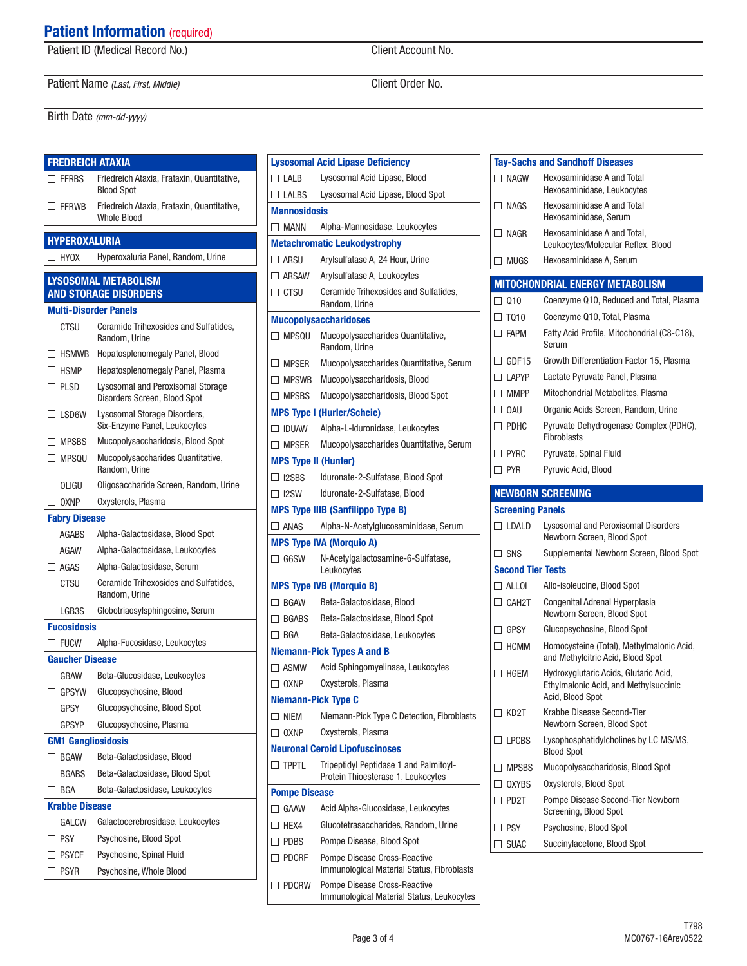## **Patient Information** (required)

| Patient ID (Medical Record No.)    | l Client Account No. |
|------------------------------------|----------------------|
| Patient Name (Last, First, Middle) | Client Order No.     |
| Birth Date (mm-dd-yyyy)            |                      |

| <b>FREDREICH ATAXIA</b>                  |                                                                   |  |
|------------------------------------------|-------------------------------------------------------------------|--|
| $\Box$ FFRBS                             | Friedreich Ataxia, Frataxin, Quantitative,<br><b>Blood Spot</b>   |  |
| $\square$ Ffrwb                          | Friedreich Ataxia, Frataxin, Quantitative,<br><b>Whole Blood</b>  |  |
| <b>HYPEROXALURIA</b>                     |                                                                   |  |
| $\Box$ HYOX                              | Hyperoxaluria Panel, Random, Urine                                |  |
|                                          |                                                                   |  |
|                                          | LYSOSOMAL METABOLISM<br><b>AND STORAGE DISORDERS</b>              |  |
|                                          | <b>Multi-Disorder Panels</b>                                      |  |
| $\Box$ ctsu                              | Ceramide Trihexosides and Sulfatides,<br>Random, Urine            |  |
| HSMWB<br>П                               | Hepatosplenomegaly Panel, Blood                                   |  |
| $\Box$ HSMP                              | Hepatosplenomegaly Panel, Plasma                                  |  |
| $\Box$ PLSD                              | Lysosomal and Peroxisomal Storage<br>Disorders Screen, Blood Spot |  |
| $\Box$ LSD6W                             | Lysosomal Storage Disorders,<br>Six-Enzyme Panel, Leukocytes      |  |
| $\Box$ MPSBS                             | Mucopolysaccharidosis, Blood Spot                                 |  |
| $\Box$ MPSQU                             | Mucopolysaccharides Quantitative,<br>Random, Urine                |  |
| $\Box$ oligu                             | Oligosaccharide Screen, Random, Urine                             |  |
| $\Box$ OXNP                              | Oxysterols, Plasma                                                |  |
| <b>Fabry Disease</b>                     |                                                                   |  |
| $\Box$ Agabs                             | Alpha-Galactosidase, Blood Spot                                   |  |
| $\Box$ AGAW                              | Alpha-Galactosidase, Leukocytes                                   |  |
| $\Box$ AGAS                              | Alpha-Galactosidase, Serum                                        |  |
| $\Box$ Ctsu                              | Ceramide Trihexosides and Sulfatides,<br>Random, Urine            |  |
| $\Box$ LGB3S                             | Globotriaosylsphingosine, Serum                                   |  |
| <b>Fucosidosis</b>                       |                                                                   |  |
| $\Box$ Fucw                              | Alpha-Fucosidase, Leukocytes                                      |  |
| <b>Gaucher Disease</b>                   |                                                                   |  |
| $\Box$ GBAW                              | Beta-Glucosidase, Leukocytes                                      |  |
| $\Box$ GPSYW                             | Glucopsychosine, Blood                                            |  |
| GPSY<br>┚                                | Glucopsychosine, Blood Spot                                       |  |
| ∃ GPSYP                                  | Glucopsychosine, Plasma                                           |  |
| <b>GM1 Gangliosidosis</b>                |                                                                   |  |
| $\Box$ BGAW                              | Beta-Galactosidase, Blood                                         |  |
| <b>BGABS</b><br>$\overline{\phantom{a}}$ | Beta-Galactosidase, Blood Spot                                    |  |
| ∃ BGA                                    | Beta-Galactosidase, Leukocytes                                    |  |
| <b>Krabbe Disease</b>                    |                                                                   |  |
| GALCW                                    | Galactocerebrosidase, Leukocytes                                  |  |
| $\sqsupset$ PSY                          | Psychosine, Blood Spot                                            |  |
| ∃ PSYCF                                  | Psychosine, Spinal Fluid                                          |  |
| <b>PSYR</b>                              | Psychosine, Whole Blood                                           |  |

| <b>Lysosomal Acid Lipase Deficiency</b> |                                                                              |  |
|-----------------------------------------|------------------------------------------------------------------------------|--|
| $\Box$ LALB                             | Lysosomal Acid Lipase, Blood                                                 |  |
| $\Box$ Lalbs                            | Lysosomal Acid Lipase, Blood Spot                                            |  |
| Mannosidosis                            |                                                                              |  |
| $\Box$ MANN                             | Alpha-Mannosidase, Leukocytes                                                |  |
|                                         | <b>Metachromatic Leukodystrophy</b>                                          |  |
| $\Box$ ARSU                             | Arylsulfatase A, 24 Hour, Urine                                              |  |
| $\Box$ ARSAW                            | Arylsulfatase A, Leukocytes                                                  |  |
| $\Box$ CTSU                             | Ceramide Trihexosides and Sulfatides,<br>Random, Urine                       |  |
|                                         | <b>Mucopolysaccharidoses</b>                                                 |  |
| $\Box$ MPSQU                            | Mucopolysaccharides Quantitative,<br>Random, Urine                           |  |
| $\Box$ MPSER                            | Mucopolysaccharides Quantitative, Serum                                      |  |
| $\Box$ MPSWB                            | Mucopolysaccharidosis, Blood                                                 |  |
| $\Box$ MPSBS                            | Mucopolysaccharidosis, Blood Spot                                            |  |
|                                         | <b>MPS Type I (Hurler/Scheie)</b>                                            |  |
| $\Box$ IDUAW                            | Alpha-L-Iduronidase, Leukocytes                                              |  |
| $\Box$ MPSER                            | Mucopolysaccharides Quantitative, Serum                                      |  |
| <b>MPS Type II (Hunter)</b>             |                                                                              |  |
| $\Box$ I2SBS                            | Iduronate-2-Sulfatase, Blood Spot                                            |  |
| $\Box$ 12SW                             | Iduronate-2-Sulfatase, Blood                                                 |  |
|                                         | <b>MPS Type IIIB (Sanfilippo Type B)</b>                                     |  |
| $\Box$ ANAS                             | Alpha-N-Acetylglucosaminidase, Serum                                         |  |
|                                         | <b>MPS Type IVA (Morquio A)</b>                                              |  |
| $\Box$ G6SW                             | N-Acetylgalactosamine-6-Sulfatase,<br>Leukocytes                             |  |
|                                         | <b>MPS Type IVB (Morquio B)</b>                                              |  |
| $\Box$ BGAW                             | Beta-Galactosidase, Blood                                                    |  |
|                                         | □ BGABS Beta-Galactosidase, Blood Spot                                       |  |
| $\Box$ BGA                              | Beta-Galactosidase, Leukocytes                                               |  |
|                                         | <b>Niemann-Pick Types A and B</b>                                            |  |
| $\square$ ASMW                          | Acid Sphingomyelinase, Leukocytes                                            |  |
| $\Box$ OXNP                             | Oxysterols, Plasma                                                           |  |
| <b>Niemann-Pick Type C</b>              |                                                                              |  |
| $\Box$ Niem                             | Niemann-Pick Type C Detection, Fibroblasts                                   |  |
| $\Box$ OXNP                             | Oxysterols, Plasma                                                           |  |
|                                         | <b>Neuronal Ceroid Lipofuscinoses</b>                                        |  |
| $\Box$ TPPTL                            | Tripeptidyl Peptidase 1 and Palmitoyl-<br>Protein Thioesterase 1, Leukocytes |  |
| <b>Pompe Disease</b>                    |                                                                              |  |
| $\Box$ GAAW                             | Acid Alpha-Glucosidase, Leukocytes                                           |  |
| $\Box$ HFX4                             | Glucotetrasaccharides, Random, Urine                                         |  |
| $\Box$ PDBS                             | Pompe Disease, Blood Spot                                                    |  |
| $\Box$ PDCRF                            | Pompe Disease Cross-Reactive<br>Immunological Material Status, Fibroblasts   |  |
| $\Box$ PDCRW                            | Pompe Disease Cross-Reactive<br>Immunological Material Status, Leukocytes    |  |

| <b>Tay-Sachs and Sandhoff Diseases</b> |                          |                                                                          |  |  |
|----------------------------------------|--------------------------|--------------------------------------------------------------------------|--|--|
|                                        | $\Box$ NAGW              | Hexosaminidase A and Total<br>Hexosaminidase, Leukocytes                 |  |  |
|                                        | $\Box$ NAGS              | Hexosaminidase A and Total<br>Hexosaminidase, Serum                      |  |  |
| ГΙ                                     | <b>NAGR</b>              | Hexosaminidase A and Total.<br>Leukocytes/Molecular Reflex, Blood        |  |  |
| П                                      | <b>MUGS</b>              | Hexosaminidase A, Serum                                                  |  |  |
|                                        |                          |                                                                          |  |  |
|                                        |                          | <b>MITOCHONDRIAL ENERGY METABOLISM</b>                                   |  |  |
|                                        | $\square$ Q10            | Coenzyme Q10, Reduced and Total, Plasma                                  |  |  |
|                                        | $\Box$ TQ10              | Coenzyme Q10, Total, Plasma                                              |  |  |
|                                        | $\Box$ Fapm              | Fatty Acid Profile, Mitochondrial (C8-C18),<br>Serum                     |  |  |
|                                        | $\Box$ GDF15             | Growth Differentiation Factor 15, Plasma                                 |  |  |
|                                        | $\Box$ LAPYP             | Lactate Pyruvate Panel, Plasma                                           |  |  |
|                                        | $\Box$ MMPP              | Mitochondrial Metabolites, Plasma                                        |  |  |
|                                        | $\Box$ $0$ All           | Organic Acids Screen, Random, Urine                                      |  |  |
|                                        | $\Box$ PDHC              | Pyruvate Dehydrogenase Complex (PDHC),<br>Fibroblasts                    |  |  |
|                                        | $\Box$ PYRC              | Pyruvate, Spinal Fluid                                                   |  |  |
|                                        | $\Box$ PYR               | Pyruvic Acid, Blood                                                      |  |  |
| <b>NEWBORN SCREENING</b>               |                          |                                                                          |  |  |
|                                        | <b>Screening Panels</b>  |                                                                          |  |  |
|                                        |                          |                                                                          |  |  |
|                                        | $\Box$ LDALD             | <b>Lysosomal and Peroxisomal Disorders</b><br>Newborn Screen, Blood Spot |  |  |
|                                        | $\Box$ SNS               | Supplemental Newborn Screen, Blood Spot                                  |  |  |
|                                        | <b>Second Tier Tests</b> |                                                                          |  |  |
|                                        | $\sqcap$ alloi           | Allo-isoleucine, Blood Spot                                              |  |  |
|                                        | $\Box$ CAH2T             | Congenital Adrenal Hyperplasia<br>Newborn Screen, Blood Spot             |  |  |
| $\perp$                                | <b>GPSY</b>              | Glucopsychosine, Blood Spot                                              |  |  |
|                                        | $\Box$ HCMM              | Homocysteine (Total), Methylmalonic Acid,                                |  |  |

|   | Screening Panels         |                                                                                                    |
|---|--------------------------|----------------------------------------------------------------------------------------------------|
|   | LDALD                    | Lysosomal and Peroxisomal Disorders<br>Newborn Screen, Blood Spot                                  |
|   | <b>SNS</b>               | Supplemental Newborn Screen, Blood Spot                                                            |
|   | <b>Second Tier Tests</b> |                                                                                                    |
|   | $\Box$ ALLOI             | Allo-isoleucine, Blood Spot                                                                        |
|   | $\Box$ $CAH2T$           | Congenital Adrenal Hyperplasia<br>Newborn Screen, Blood Spot                                       |
| П | <b>GPSY</b>              | Glucopsychosine, Blood Spot                                                                        |
|   | <b>HCMM</b>              | Homocysteine (Total), Methylmalonic Acid,<br>and Methylcitric Acid, Blood Spot                     |
| П | <b>HGFM</b>              | Hydroxyglutaric Acids, Glutaric Acid,<br>Ethylmalonic Acid, and Methylsuccinic<br>Acid, Blood Spot |
| П | KD <sub>2</sub> T        | Krabbe Disease Second-Tier<br>Newborn Screen, Blood Spot                                           |
| П | <b>LPCBS</b>             | Lysophosphatidylcholines by LC MS/MS.<br><b>Blood Spot</b>                                         |
|   | <b>MPSBS</b>             | Mucopolysaccharidosis, Blood Spot                                                                  |
|   | <b>OXYBS</b>             | Oxysterols, Blood Spot                                                                             |
| П | PD <sub>2</sub> T        | Pompe Disease Second-Tier Newborn<br>Screening, Blood Spot                                         |
| П | <b>PSY</b>               | Psychosine, Blood Spot                                                                             |
| П | <b>SUAC</b>              | Succinylacetone, Blood Spot                                                                        |